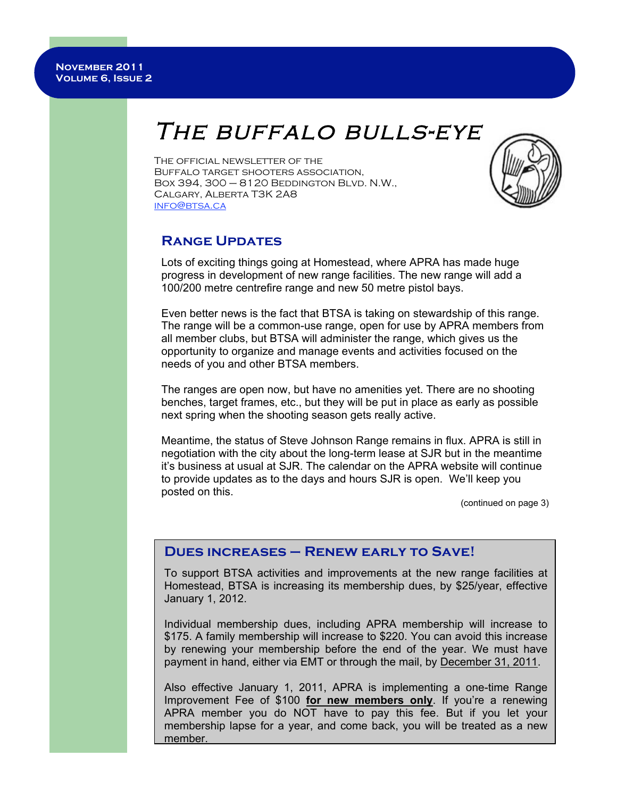# THE BUFFALO BULLS-EYE

The official newsletter of the Buffalo target shooters association, BOX 394, 300  $-8120$  BEDDINGTON BLVD. N.W., Calgary, Alberta T3K 2A8 info@btsa.ca



## **Range Updates**

Lots of exciting things going at Homestead, where APRA has made huge progress in development of new range facilities. The new range will add a 100/200 metre centrefire range and new 50 metre pistol bays.

Even better news is the fact that BTSA is taking on stewardship of this range. The range will be a common-use range, open for use by APRA members from all member clubs, but BTSA will administer the range, which gives us the opportunity to organize and manage events and activities focused on the needs of you and other BTSA members.

The ranges are open now, but have no amenities yet. There are no shooting benches, target frames, etc., but they will be put in place as early as possible next spring when the shooting season gets really active.

Meantime, the status of Steve Johnson Range remains in flux. APRA is still in negotiation with the city about the long-term lease at SJR but in the meantime it's business at usual at SJR. The calendar on the APRA website will continue to provide updates as to the days and hours SJR is open. We'll keep you posted on this.

(continued on page 3)

### **Dues increases – Renew early to Save!**

To support BTSA activities and improvements at the new range facilities at Homestead, BTSA is increasing its membership dues, by \$25/year, effective January 1, 2012.

Individual membership dues, including APRA membership will increase to \$175. A family membership will increase to \$220. You can avoid this increase by renewing your membership before the end of the year. We must have payment in hand, either via EMT or through the mail, by December 31, 2011.

Also effective January 1, 2011, APRA is implementing a one-time Range Improvement Fee of \$100 **for new members only**. If you're a renewing APRA member you do NOT have to pay this fee. But if you let your membership lapse for a year, and come back, you will be treated as a new member.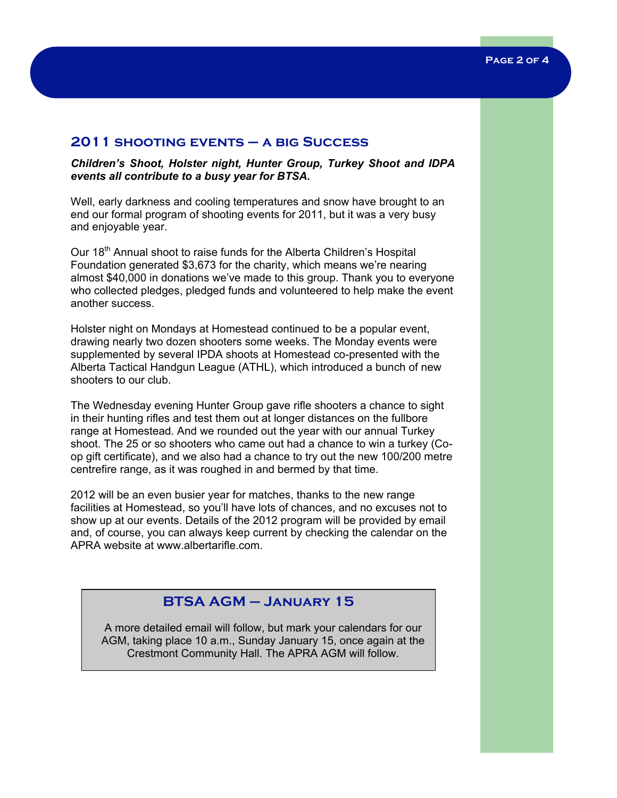#### **2011 shooting events – a big Success**

*Children's Shoot, Holster night, Hunter Group, Turkey Shoot and IDPA events all contribute to a busy year for BTSA.*

Well, early darkness and cooling temperatures and snow have brought to an end our formal program of shooting events for 2011, but it was a very busy and enjoyable year.

Our 18<sup>th</sup> Annual shoot to raise funds for the Alberta Children's Hospital Foundation generated \$3,673 for the charity, which means we're nearing almost \$40,000 in donations we've made to this group. Thank you to everyone who collected pledges, pledged funds and volunteered to help make the event another success.

Holster night on Mondays at Homestead continued to be a popular event, drawing nearly two dozen shooters some weeks. The Monday events were supplemented by several IPDA shoots at Homestead co-presented with the Alberta Tactical Handgun League (ATHL), which introduced a bunch of new shooters to our club.

The Wednesday evening Hunter Group gave rifle shooters a chance to sight in their hunting rifles and test them out at longer distances on the fullbore range at Homestead. And we rounded out the year with our annual Turkey shoot. The 25 or so shooters who came out had a chance to win a turkey (Coop gift certificate), and we also had a chance to try out the new 100/200 metre centrefire range, as it was roughed in and bermed by that time.

2012 will be an even busier year for matches, thanks to the new range facilities at Homestead, so you'll have lots of chances, and no excuses not to show up at our events. Details of the 2012 program will be provided by email and, of course, you can always keep current by checking the calendar on the APRA website at www.albertarifle.com.

# **BTSA AGM – January 15**

A more detailed email will follow, but mark your calendars for our AGM, taking place 10 a.m., Sunday January 15, once again at the Crestmont Community Hall. The APRA AGM will follow.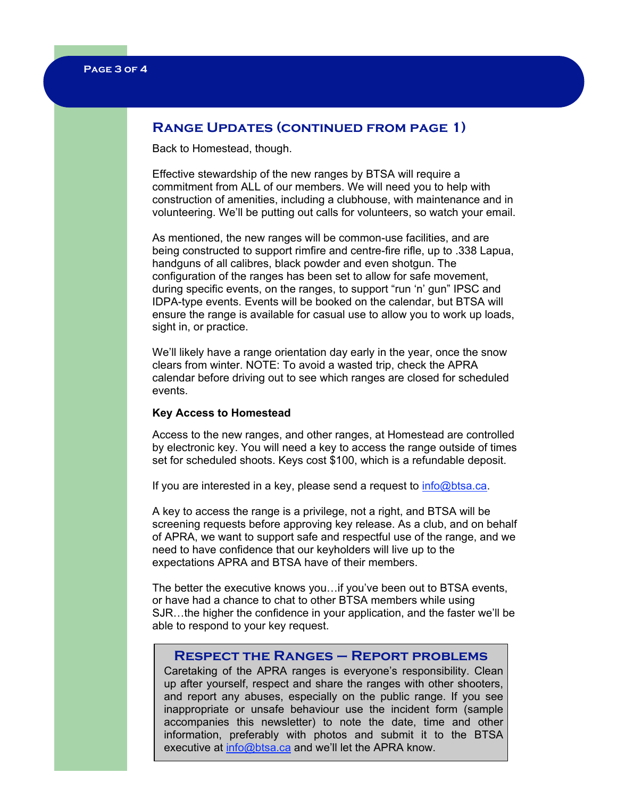## **Range Updates (continued from page 1)**

Back to Homestead, though.

Effective stewardship of the new ranges by BTSA will require a commitment from ALL of our members. We will need you to help with construction of amenities, including a clubhouse, with maintenance and in volunteering. We'll be putting out calls for volunteers, so watch your email.

As mentioned, the new ranges will be common-use facilities, and are being constructed to support rimfire and centre-fire rifle, up to .338 Lapua, handguns of all calibres, black powder and even shotgun. The configuration of the ranges has been set to allow for safe movement, during specific events, on the ranges, to support "run 'n' gun" IPSC and IDPA-type events. Events will be booked on the calendar, but BTSA will ensure the range is available for casual use to allow you to work up loads, sight in, or practice.

We'll likely have a range orientation day early in the year, once the snow clears from winter. NOTE: To avoid a wasted trip, check the APRA calendar before driving out to see which ranges are closed for scheduled events.

#### **Key Access to Homestead**

Access to the new ranges, and other ranges, at Homestead are controlled by electronic key. You will need a key to access the range outside of times set for scheduled shoots. Keys cost \$100, which is a refundable deposit.

If you are interested in a key, please send a request to  $info@btsa.ca$ .

A key to access the range is a privilege, not a right, and BTSA will be screening requests before approving key release. As a club, and on behalf of APRA, we want to support safe and respectful use of the range, and we need to have confidence that our keyholders will live up to the expectations APRA and BTSA have of their members.

The better the executive knows you…if you've been out to BTSA events, or have had a chance to chat to other BTSA members while using SJR…the higher the confidence in your application, and the faster we'll be able to respond to your key request.

#### **Respect the Ranges – Report problems**

Caretaking of the APRA ranges is everyone's responsibility. Clean up after yourself, respect and share the ranges with other shooters, and report any abuses, especially on the public range. If you see inappropriate or unsafe behaviour use the incident form (sample accompanies this newsletter) to note the date, time and other information, preferably with photos and submit it to the BTSA executive at info@btsa.ca and we'll let the APRA know.